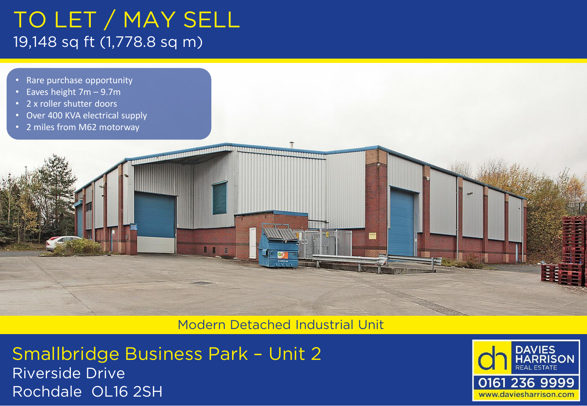# TO LET / MAY SELL 19,148 sq ft (1,778.8 sq m)

- Rare purchase opportunity
- Eaves height 7m 9.7m
- 2 x roller shutter doors
- Over 400 KVA electrical supply
- 2 miles from M62 motorway

Modern Detached Industrial Unit

Smallbridge Business Park – Unit 2 Riverside Drive Rochdale OL16 2SH